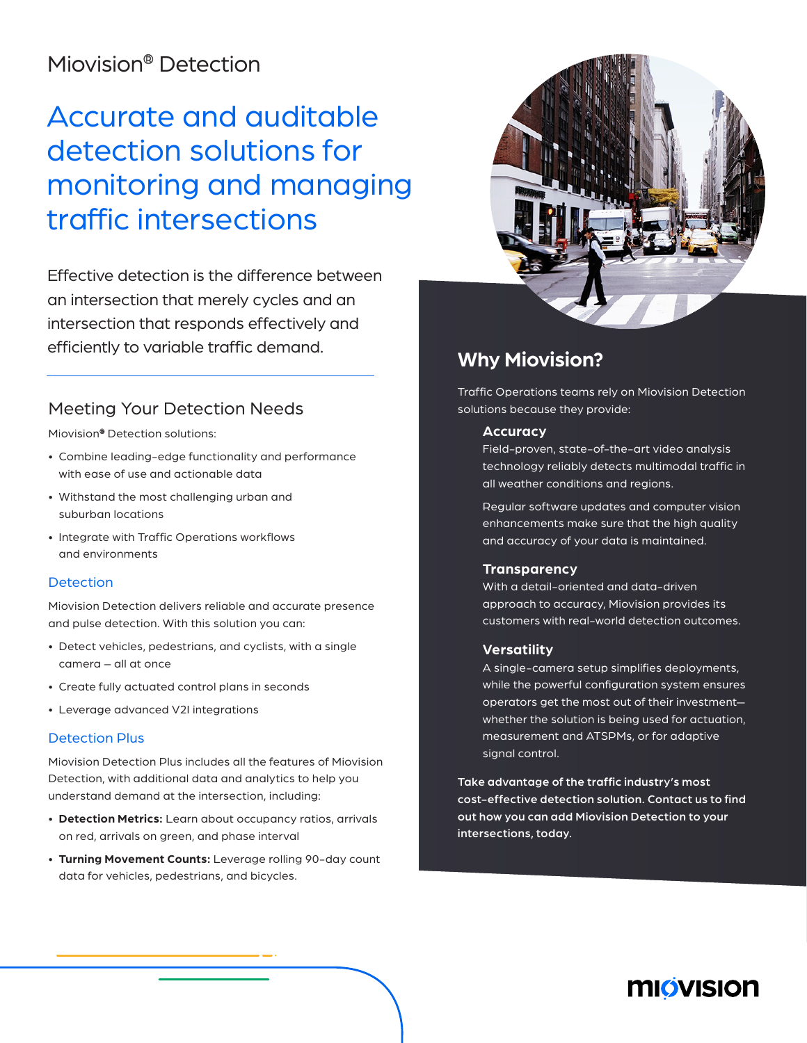## Miovision® Detection

# Accurate and auditable detection solutions for monitoring and managing traffic intersections

Effective detection is the difference between an intersection that merely cycles and an intersection that responds effectively and efficiently to variable traffic demand.

### Meeting Your Detection Needs

Miovision® Detection solutions:

- Combine leading-edge functionality and performance with ease of use and actionable data
- Withstand the most challenging urban and suburban locations
- Integrate with Traffic Operations workflows and environments

#### **Detection**

Miovision Detection delivers reliable and accurate presence and pulse detection. With this solution you can:

- Detect vehicles, pedestrians, and cyclists, with a single camera – all at once
- Create fully actuated control plans in seconds
- Leverage advanced V2I integrations

#### Detection Plus

Miovision Detection Plus includes all the features of Miovision Detection, with additional data and analytics to help you understand demand at the intersection, including:

- **Detection Metrics:** Learn about occupancy ratios, arrivals on red, arrivals on green, and phase interval
- **Turning Movement Counts:** Leverage rolling 90-day count data for vehicles, pedestrians, and bicycles.



## **Why Miovision?**

Traffic Operations teams rely on Miovision Detection solutions because they provide:

#### **Accuracy**

Field-proven, state-of-the-art video analysis technology reliably detects multimodal traffic in all weather conditions and regions.

 Regular software updates and computer vision enhancements make sure that the high quality and accuracy of your data is maintained.

#### **Transparency**

 With a detail-oriented and data-driven approach to accuracy, Miovision provides its customers with real-world detection outcomes.

#### **Versatility**

 A single-camera setup simplifies deployments, while the powerful configuration system ensures operators get the most out of their investment whether the solution is being used for actuation, measurement and ATSPMs, or for adaptive signal control.

Take advantage of the traffic industry's most cost-effective detection solution. Contact us to find out how you can add Miovision Detection to your intersections, today.

## **MIÖVISION**